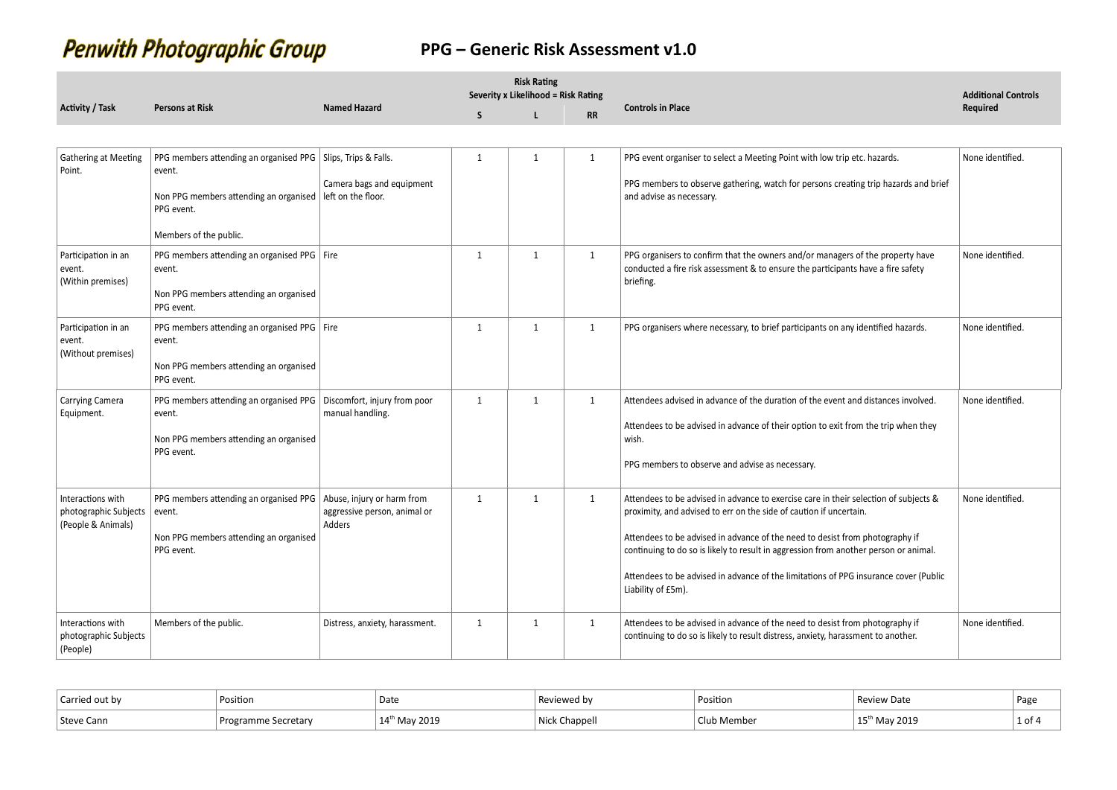# **Penwith Photographic Group**

|                                                                  |                                                                                                                                                                                 |                                        |              | <b>Risk Rating</b><br>Severity x Likelihood = Risk Rating |              |                                                                                                                                                                                                                                                                                                                                                                                                                                                  | <b>Additional Controls</b> |
|------------------------------------------------------------------|---------------------------------------------------------------------------------------------------------------------------------------------------------------------------------|----------------------------------------|--------------|-----------------------------------------------------------|--------------|--------------------------------------------------------------------------------------------------------------------------------------------------------------------------------------------------------------------------------------------------------------------------------------------------------------------------------------------------------------------------------------------------------------------------------------------------|----------------------------|
| <b>Activity / Task</b>                                           | <b>Persons at Risk</b>                                                                                                                                                          | <b>Named Hazard</b>                    | <sub>S</sub> | L                                                         | <b>RR</b>    | <b>Controls in Place</b>                                                                                                                                                                                                                                                                                                                                                                                                                         | Required                   |
|                                                                  |                                                                                                                                                                                 |                                        |              |                                                           |              |                                                                                                                                                                                                                                                                                                                                                                                                                                                  |                            |
| Gathering at Meeting<br>Point.                                   | PPG members attending an organised PPG   Slips, Trips & Falls.<br>event.<br>Non PPG members attending an organised   left on the floor.<br>PPG event.<br>Members of the public. | Camera bags and equipment              | 1            | 1                                                         | 1            | PPG event organiser to select a Meeting Point with low trip etc. hazards.<br>PPG members to observe gathering, watch for persons creating trip hazards and brief<br>and advise as necessary.                                                                                                                                                                                                                                                     | None identified.           |
| Participation in an<br>event.<br>(Within premises)               | PPG members attending an organised PPG   Fire<br>event.<br>Non PPG members attending an organised<br>PPG event.                                                                 |                                        | $\mathbf{1}$ | 1                                                         | $\mathbf{1}$ | PPG organisers to confirm that the owners and/or managers of the property have<br>conducted a fire risk assessment & to ensure the participants have a fire safety<br>briefing.                                                                                                                                                                                                                                                                  | None identified.           |
| Participation in an<br>event.<br>(Without premises)              | PPG members attending an organised PPG   Fire<br>event.<br>Non PPG members attending an organised<br>PPG event.                                                                 |                                        | $\mathbf{1}$ | 1                                                         | $\mathbf{1}$ | PPG organisers where necessary, to brief participants on any identified hazards.                                                                                                                                                                                                                                                                                                                                                                 | None identified.           |
| Carrying Camera<br>Equipment.                                    | PPG members attending an organised PPG   Discomfort, injury from poor<br>event.<br>Non PPG members attending an organised<br>PPG event.                                         | manual handling.                       | $\mathbf{1}$ | 1                                                         | $\mathbf{1}$ | Attendees advised in advance of the duration of the event and distances involved.<br>Attendees to be advised in advance of their option to exit from the trip when they<br>wish.<br>PPG members to observe and advise as necessary.                                                                                                                                                                                                              | None identified.           |
| Interactions with<br>photographic Subjects<br>(People & Animals) | PPG members attending an organised PPG   Abuse, injury or harm from<br>event.<br>Non PPG members attending an organised<br>PPG event.                                           | aggressive person, animal or<br>Adders | $\mathbf{1}$ | $\mathbf{1}$                                              | 1            | Attendees to be advised in advance to exercise care in their selection of subjects &<br>proximity, and advised to err on the side of caution if uncertain.<br>Attendees to be advised in advance of the need to desist from photography if<br>continuing to do so is likely to result in aggression from another person or animal.<br>Attendees to be advised in advance of the limitations of PPG insurance cover (Public<br>Liability of £5m). | None identified.           |
| Interactions with<br>photographic Subjects<br>(People)           | Members of the public.                                                                                                                                                          | Distress, anxiety, harassment.         | 1            | 1                                                         | 1            | Attendees to be advised in advance of the need to desist from photography if<br>continuing to do so is likely to result distress, anxiety, harassment to another.                                                                                                                                                                                                                                                                                | None identified.           |

| Carried out by | Position                        | Date       |         | Position | , patr | ` Pag∈          |
|----------------|---------------------------------|------------|---------|----------|--------|-----------------|
| Steve<br>Cann  | <b>Secretary</b><br>Prog<br>ram | 201°<br>IЛ | nannall | Membe    | 2019   | $1$ of $\theta$ |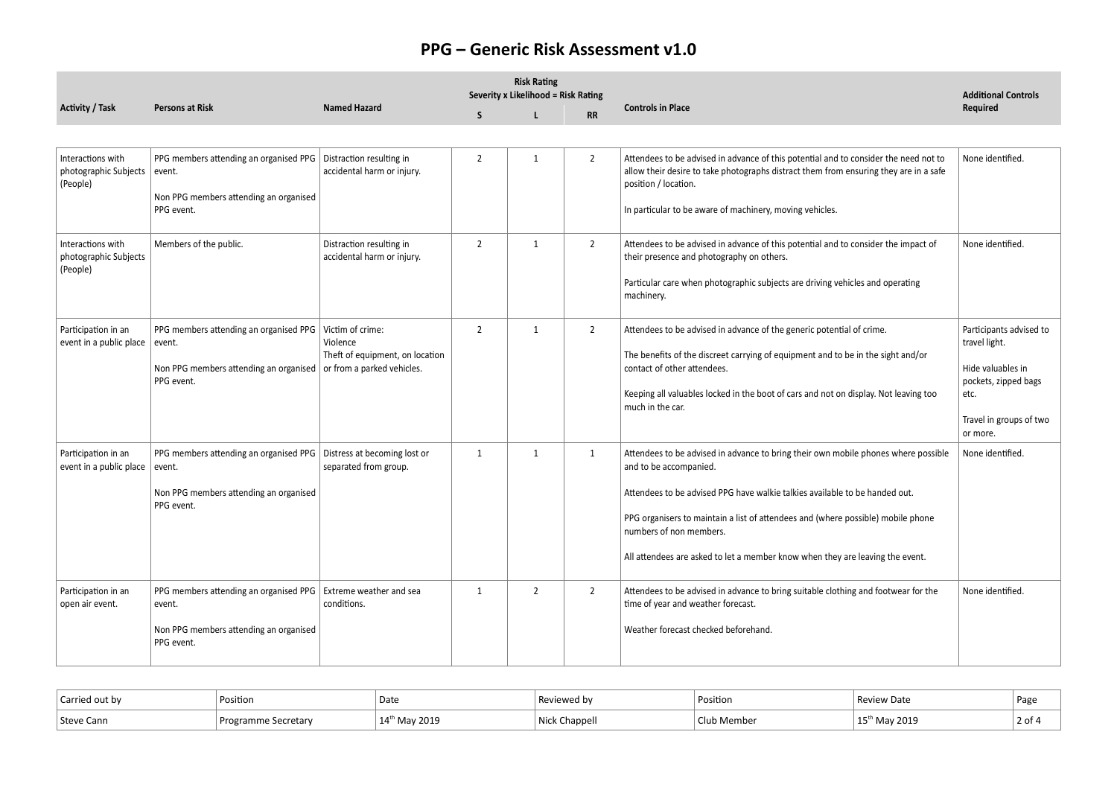|                                                        |                                                                                                                                       |                                                                 | <b>Risk Rating</b><br>Severity x Likelihood = Risk Rating |                |                |                                                                                                                                                                                                                                                                                                                                                                                             | <b>Additional Controls</b>                                                                                                           |  |
|--------------------------------------------------------|---------------------------------------------------------------------------------------------------------------------------------------|-----------------------------------------------------------------|-----------------------------------------------------------|----------------|----------------|---------------------------------------------------------------------------------------------------------------------------------------------------------------------------------------------------------------------------------------------------------------------------------------------------------------------------------------------------------------------------------------------|--------------------------------------------------------------------------------------------------------------------------------------|--|
| <b>Activity / Task</b>                                 | <b>Persons at Risk</b>                                                                                                                | <b>Named Hazard</b>                                             | S                                                         |                | <b>RR</b>      | <b>Controls in Place</b>                                                                                                                                                                                                                                                                                                                                                                    | Required                                                                                                                             |  |
|                                                        |                                                                                                                                       |                                                                 |                                                           |                |                |                                                                                                                                                                                                                                                                                                                                                                                             |                                                                                                                                      |  |
| Interactions with<br>photographic Subjects<br>(People) | PPG members attending an organised PPG<br>event.<br>Non PPG members attending an organised<br>PPG event.                              | Distraction resulting in<br>accidental harm or injury.          | $\overline{2}$                                            | $\mathbf{1}$   | $\overline{2}$ | Attendees to be advised in advance of this potential and to consider the need not to<br>allow their desire to take photographs distract them from ensuring they are in a safe<br>position / location.<br>In particular to be aware of machinery, moving vehicles.                                                                                                                           | None identified.                                                                                                                     |  |
| Interactions with<br>photographic Subjects<br>(People) | Members of the public.                                                                                                                | Distraction resulting in<br>accidental harm or injury.          | $\overline{2}$                                            | $\mathbf{1}$   | $\overline{2}$ | Attendees to be advised in advance of this potential and to consider the impact of<br>their presence and photography on others.<br>Particular care when photographic subjects are driving vehicles and operating<br>machinery.                                                                                                                                                              | None identified.                                                                                                                     |  |
| Participation in an<br>event in a public place         | PPG members attending an organised PPG<br>event.<br>Non PPG members attending an organised or from a parked vehicles.<br>PPG event.   | Victim of crime:<br>Violence<br>Theft of equipment, on location | $\overline{2}$                                            | 1              | $\overline{2}$ | Attendees to be advised in advance of the generic potential of crime.<br>The benefits of the discreet carrying of equipment and to be in the sight and/or<br>contact of other attendees.<br>Keeping all valuables locked in the boot of cars and not on display. Not leaving too<br>much in the car.                                                                                        | Participants advised to<br>travel light.<br>Hide valuables in<br>pockets, zipped bags<br>etc.<br>Travel in groups of two<br>or more. |  |
| Participation in an<br>event in a public place         | PPG members attending an organised PPG Distress at becoming lost or<br>event.<br>Non PPG members attending an organised<br>PPG event. | separated from group.                                           | 1                                                         | 1              | 1              | Attendees to be advised in advance to bring their own mobile phones where possible<br>and to be accompanied.<br>Attendees to be advised PPG have walkie talkies available to be handed out.<br>PPG organisers to maintain a list of attendees and (where possible) mobile phone<br>numbers of non members.<br>All attendees are asked to let a member know when they are leaving the event. | None identified.                                                                                                                     |  |
| Participation in an<br>open air event.                 | PPG members attending an organised PPG   Extreme weather and sea<br>event.<br>Non PPG members attending an organised<br>PPG event.    | conditions.                                                     | $\mathbf{1}$                                              | $\overline{2}$ | $\overline{2}$ | Attendees to be advised in advance to bring suitable clothing and footwear for the<br>time of year and weather forecast.<br>Weather forecast checked beforehand.                                                                                                                                                                                                                            | None identified.                                                                                                                     |  |

| Carried out by | Position                    | Date                            | …wed b∨               | Position | 'eview Date | Page        |
|----------------|-----------------------------|---------------------------------|-----------------------|----------|-------------|-------------|
| Steve Cann     | 、Secretarv<br>™amme<br>Prog | May 2019<br>$14^t$<br><b>MA</b> | Chappell<br>NI i e la | ı Membeı | 2019        | 2 of $\ell$ |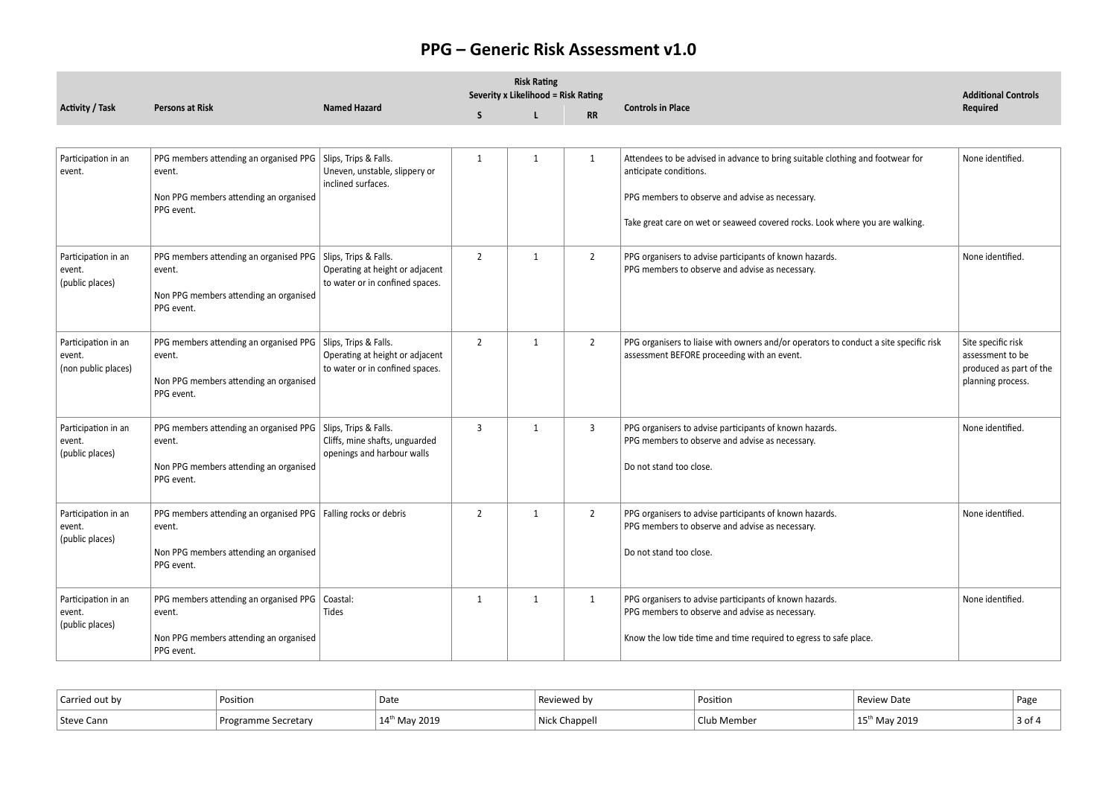|                                                      |                                                                                                                                    |                                                                    |                | <b>Risk Rating</b><br>Severity x Likelihood = Risk Rating |                |                                                                                                                                                                                                                                             | <b>Additional Controls</b>                                                             |  |
|------------------------------------------------------|------------------------------------------------------------------------------------------------------------------------------------|--------------------------------------------------------------------|----------------|-----------------------------------------------------------|----------------|---------------------------------------------------------------------------------------------------------------------------------------------------------------------------------------------------------------------------------------------|----------------------------------------------------------------------------------------|--|
| Activity / Task                                      | <b>Persons at Risk</b>                                                                                                             | <b>Named Hazard</b>                                                | S              | L                                                         | <b>RR</b>      | <b>Controls in Place</b>                                                                                                                                                                                                                    | Required                                                                               |  |
|                                                      |                                                                                                                                    |                                                                    |                |                                                           |                |                                                                                                                                                                                                                                             |                                                                                        |  |
| Participation in an<br>event.                        | PPG members attending an organised PPG   Slips, Trips & Falls.<br>event.<br>Non PPG members attending an organised<br>PPG event.   | Uneven, unstable, slippery or<br>inclined surfaces.                | 1              | $\mathbf{1}$                                              | 1              | Attendees to be advised in advance to bring suitable clothing and footwear for<br>anticipate conditions.<br>PPG members to observe and advise as necessary.<br>Take great care on wet or seaweed covered rocks. Look where you are walking. | None identified.                                                                       |  |
| Participation in an<br>event.<br>(public places)     | PPG members attending an organised PPG   Slips, Trips & Falls.<br>event.<br>Non PPG members attending an organised<br>PPG event.   | Operating at height or adjacent<br>to water or in confined spaces. | $\overline{2}$ | $\mathbf{1}$                                              | $\overline{2}$ | PPG organisers to advise participants of known hazards.<br>PPG members to observe and advise as necessary.                                                                                                                                  | None identified.                                                                       |  |
| Participation in an<br>event.<br>(non public places) | PPG members attending an organised PPG   Slips, Trips & Falls.<br>event.<br>Non PPG members attending an organised<br>PPG event.   | Operating at height or adjacent<br>to water or in confined spaces. | $\overline{2}$ | $\mathbf{1}$                                              | $\overline{2}$ | PPG organisers to liaise with owners and/or operators to conduct a site specific risk<br>assessment BEFORE proceeding with an event.                                                                                                        | Site specific risk<br>assessment to be<br>produced as part of the<br>planning process. |  |
| Participation in an<br>event.<br>(public places)     | PPG members attending an organised PPG   Slips, Trips & Falls.<br>event.<br>Non PPG members attending an organised<br>PPG event.   | Cliffs, mine shafts, unguarded<br>openings and harbour walls       | $\overline{3}$ | $\mathbf{1}$                                              | $\mathbf{3}$   | PPG organisers to advise participants of known hazards.<br>PPG members to observe and advise as necessary.<br>Do not stand too close.                                                                                                       | None identified.                                                                       |  |
| Participation in an<br>event.<br>(public places)     | PPG members attending an organised PPG   Falling rocks or debris<br>event.<br>Non PPG members attending an organised<br>PPG event. |                                                                    | $\overline{2}$ | $\mathbf{1}$                                              | $\overline{2}$ | PPG organisers to advise participants of known hazards.<br>PPG members to observe and advise as necessary.<br>Do not stand too close.                                                                                                       | None identified.                                                                       |  |
| Participation in an<br>event.<br>(public places)     | PPG members attending an organised PPG   Coastal:<br>event.<br>Non PPG members attending an organised<br>PPG event.                | <b>Tides</b>                                                       | $\mathbf{1}$   | $\mathbf{1}$                                              | 1              | PPG organisers to advise participants of known hazards.<br>PPG members to observe and advise as necessary.<br>Know the low tide time and time required to egress to safe place.                                                             | None identified.                                                                       |  |

| ិាrried out by    | Position             | Date                   | ≂ vv≀            | Position | eview Date | ` Pag∈ |
|-------------------|----------------------|------------------------|------------------|----------|------------|--------|
| Steve (<br>. Cann | ecretarv<br>. Progre | 2019<br>$14^{\dagger}$ | `hannall<br>Nick | Membe.   | 2019       | 3 of 4 |